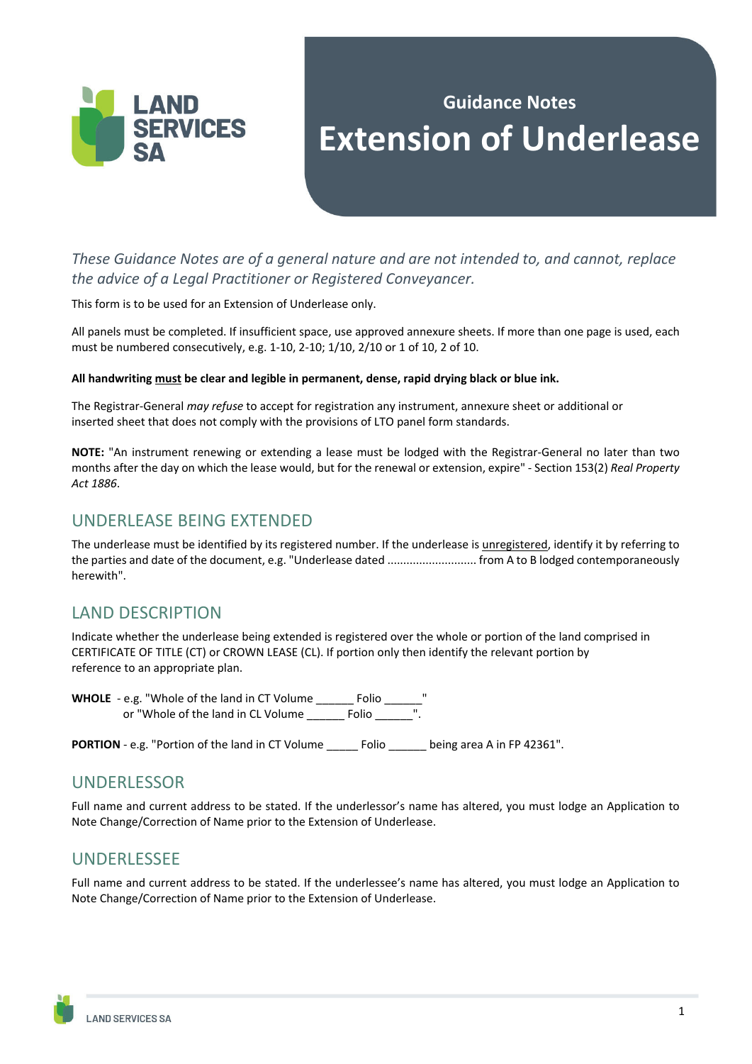

# **Guidance Notes Extension of Underlease**

*These Guidance Notes are of a general nature and are not intended to, and cannot, replace the advice of a Legal Practitioner or Registered Conveyancer.* 

This form is to be used for an Extension of Underlease only.

All panels must be completed. If insufficient space, use approved annexure sheets. If more than one page is used, each must be numbered consecutively, e.g. 1-10, 2-10; 1/10, 2/10 or 1 of 10, 2 of 10.

#### **All handwriting must be clear and legible in permanent, dense, rapid drying black or blue ink.**

The Registrar-General *may refuse* to accept for registration any instrument, annexure sheet or additional or inserted sheet that does not comply with the provisions of LTO panel form standards.

**NOTE:** "An instrument renewing or extending a lease must be lodged with the Registrar-General no later than two months after the day on which the lease would, but for the renewal or extension, expire" - Section 153(2) *Real Property Act 1886*.

### UNDERLEASE BEING EXTENDED

The underlease must be identified by its registered number. If the underlease is unregistered, identify it by referring to the parties and date of the document, e.g. "Underlease dated ............................ from A to B lodged contemporaneously herewith".

# LAND DESCRIPTION

Indicate whether the underlease being extended is registered over the whole or portion of the land comprised in CERTIFICATE OF TITLE (CT) or CROWN LEASE (CL). If portion only then identify the relevant portion by reference to an appropriate plan.

**WHOLE** - e.g. "Whole of the land in CT Volume \_\_\_\_\_\_ Folio \_\_\_\_\_\_" or "Whole of the land in CL Volume \_\_\_\_\_\_\_ Folio \_\_\_\_\_\_

PORTION - e.g. "Portion of the land in CT Volume \_\_\_\_\_\_ Folio \_\_\_\_\_\_ being area A in FP 42361".

#### UNDERLESSOR

Full name and current address to be stated. If the underlessor's name has altered, you must lodge an Application to Note Change/Correction of Name prior to the Extension of Underlease.

# UNDERLESSEE

Full name and current address to be stated. If the underlessee's name has altered, you must lodge an Application to Note Change/Correction of Name prior to the Extension of Underlease.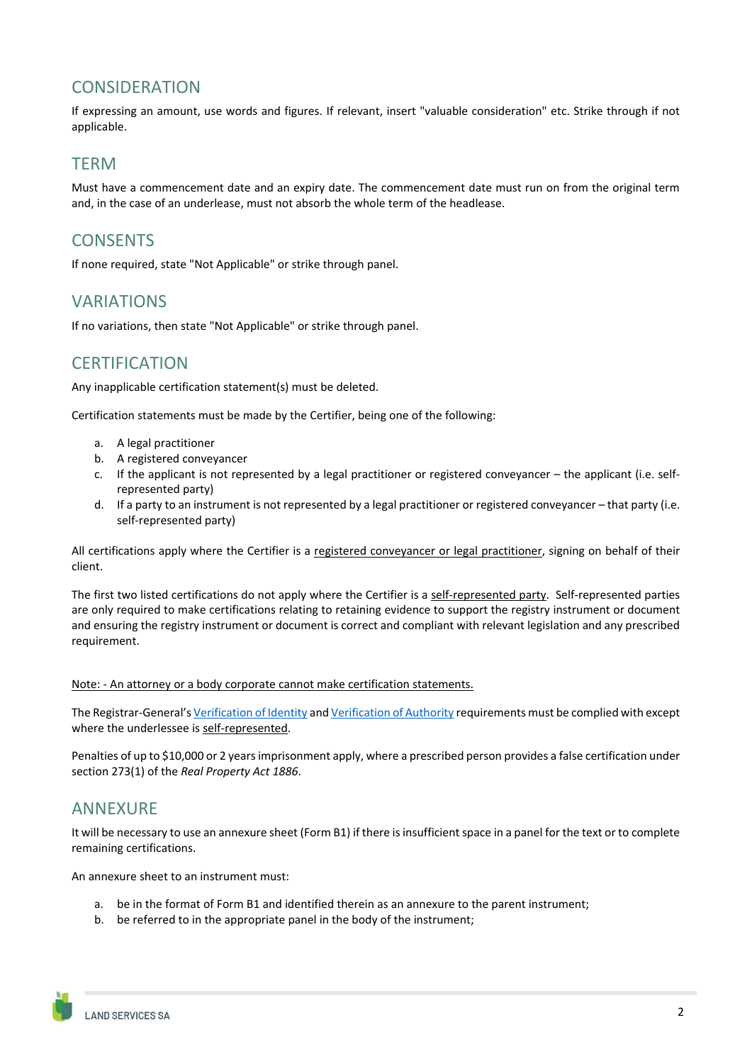# **CONSIDERATION**

If expressing an amount, use words and figures. If relevant, insert "valuable consideration" etc. Strike through if not applicable.

#### **TFRM**

Must have a commencement date and an expiry date. The commencement date must run on from the original term and, in the case of an underlease, must not absorb the whole term of the headlease.

# **CONSENTS**

If none required, state "Not Applicable" or strike through panel.

### VARIATIONS

If no variations, then state "Not Applicable" or strike through panel.

### **CERTIFICATION**

Any inapplicable certification statement(s) must be deleted.

Certification statements must be made by the Certifier, being one of the following:

- a. A legal practitioner
- b. A registered conveyancer
- c. If the applicant is not represented by a legal practitioner or registered conveyancer the applicant (i.e. selfrepresented party)
- d. If a party to an instrument is not represented by a legal practitioner or registered conveyancer that party (i.e. self-represented party)

All certifications apply where the Certifier is a registered conveyancer or legal practitioner, signing on behalf of their client.

The first two listed certifications do not apply where the Certifier is a self-represented party. Self-represented parties are only required to make certifications relating to retaining evidence to support the registry instrument or document and ensuring the registry instrument or document is correct and compliant with relevant legislation and any prescribed requirement.

Note: - An attorney or a body corporate cannot make certification statements.

The Registrar-General's Verification of Identity and Verification of Authority requirements must be complied with except where the underlessee is self-represented.

Penalties of up to \$10,000 or 2 years imprisonment apply, where a prescribed person provides a false certification under section 273(1) of the *Real Property Act 1886*.

# ANNEXURE

It will be necessary to use an annexure sheet (Form B1) if there is insufficient space in a panel for the text or to complete remaining certifications.

An annexure sheet to an instrument must:

- a. be in the format of Form B1 and identified therein as an annexure to the parent instrument;
- b. be referred to in the appropriate panel in the body of the instrument;